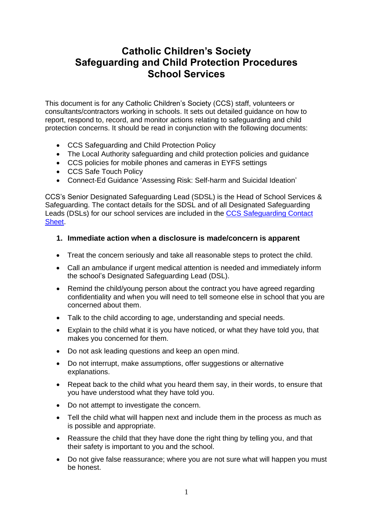# **Catholic Children's Society Safeguarding and Child Protection Procedures School Services**

This document is for any Catholic Children's Society (CCS) staff, volunteers or consultants/contractors working in schools. It sets out detailed guidance on how to report, respond to, record, and monitor actions relating to safeguarding and child protection concerns. It should be read in conjunction with the following documents:

- CCS Safeguarding and Child Protection Policy
- The Local Authority safeguarding and child protection policies and guidance
- CCS policies for mobile phones and cameras in EYFS settings
- CCS Safe Touch Policy
- Connect-Ed Guidance 'Assessing Risk: Self-harm and Suicidal Ideation'

CCS's Senior Designated Safeguarding Lead (SDSL) is the Head of School Services & Safeguarding. The contact details for the SDSL and of all Designated Safeguarding Leads (DSLs) for our school services are included in the [CCS Safeguarding Contact](https://www.cathchild.org.uk/wp-content/uploads/2018/10/CCS-Safeguarding-Contact-Sheet.pdf)  [Sheet.](https://www.cathchild.org.uk/wp-content/uploads/2018/10/CCS-Safeguarding-Contact-Sheet.pdf)

#### **1. Immediate action when a disclosure is made/concern is apparent**

- Treat the concern seriously and take all reasonable steps to protect the child.
- Call an ambulance if urgent medical attention is needed and immediately inform the school's Designated Safeguarding Lead (DSL).
- Remind the child/young person about the contract you have agreed regarding confidentiality and when you will need to tell someone else in school that you are concerned about them.
- Talk to the child according to age, understanding and special needs.
- Explain to the child what it is you have noticed, or what they have told you, that makes you concerned for them.
- Do not ask leading questions and keep an open mind.
- Do not interrupt, make assumptions, offer suggestions or alternative explanations.
- Repeat back to the child what you heard them say, in their words, to ensure that you have understood what they have told you.
- Do not attempt to investigate the concern.
- Tell the child what will happen next and include them in the process as much as is possible and appropriate.
- Reassure the child that they have done the right thing by telling you, and that their safety is important to you and the school.
- Do not give false reassurance; where you are not sure what will happen you must be honest.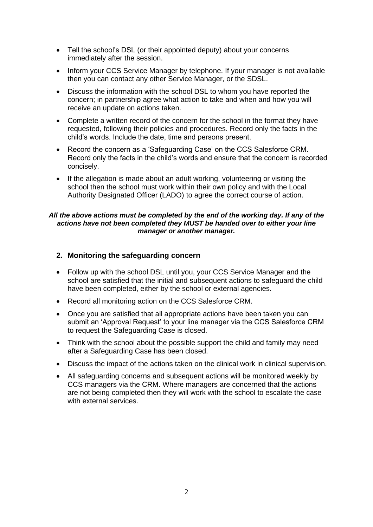- Tell the school's DSL (or their appointed deputy) about your concerns immediately after the session.
- Inform your CCS Service Manager by telephone. If your manager is not available then you can contact any other Service Manager, or the SDSL.
- Discuss the information with the school DSL to whom you have reported the concern; in partnership agree what action to take and when and how you will receive an update on actions taken.
- Complete a written record of the concern for the school in the format they have requested, following their policies and procedures. Record only the facts in the child's words. Include the date, time and persons present.
- Record the concern as a 'Safeguarding Case' on the CCS Salesforce CRM. Record only the facts in the child's words and ensure that the concern is recorded concisely.
- If the allegation is made about an adult working, volunteering or visiting the school then the school must work within their own policy and with the Local Authority Designated Officer (LADO) to agree the correct course of action.

#### *All the above actions must be completed by the end of the working day. If any of the actions have not been completed they MUST be handed over to either your line manager or another manager.*

#### **2. Monitoring the safeguarding concern**

- Follow up with the school DSL until you, your CCS Service Manager and the school are satisfied that the initial and subsequent actions to safeguard the child have been completed, either by the school or external agencies.
- Record all monitoring action on the CCS Salesforce CRM.
- Once you are satisfied that all appropriate actions have been taken you can submit an 'Approval Request' to your line manager via the CCS Salesforce CRM to request the Safeguarding Case is closed.
- Think with the school about the possible support the child and family may need after a Safeguarding Case has been closed.
- Discuss the impact of the actions taken on the clinical work in clinical supervision.
- All safeguarding concerns and subsequent actions will be monitored weekly by CCS managers via the CRM. Where managers are concerned that the actions are not being completed then they will work with the school to escalate the case with external services.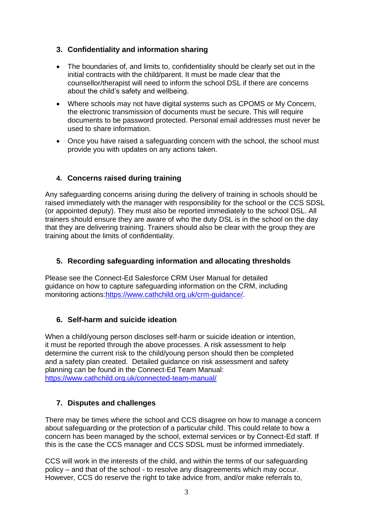### **3. Confidentiality and information sharing**

- The boundaries of, and limits to, confidentiality should be clearly set out in the initial contracts with the child/parent. It must be made clear that the counsellor/therapist will need to inform the school DSL if there are concerns about the child's safety and wellbeing.
- Where schools may not have digital systems such as CPOMS or My Concern, the electronic transmission of documents must be secure. This will require documents to be password protected. Personal email addresses must never be used to share information.
- Once you have raised a safeguarding concern with the school, the school must provide you with updates on any actions taken.

# **4. Concerns raised during training**

Any safeguarding concerns arising during the delivery of training in schools should be raised immediately with the manager with responsibility for the school or the CCS SDSL (or appointed deputy). They must also be reported immediately to the school DSL. All trainers should ensure they are aware of who the duty DSL is in the school on the day that they are delivering training. Trainers should also be clear with the group they are training about the limits of confidentiality.

#### **5. Recording safeguarding information and allocating thresholds**

Please see the Connect-Ed Salesforce CRM User Manual for detailed guidance on how to capture safeguarding information on the CRM, including monitoring actions[:https://www.cathchild.org.uk/crm-guidance/.](https://www.cathchild.org.uk/crm-guidance/)

#### **6. Self-harm and suicide ideation**

When a child/young person discloses self-harm or suicide ideation or intention, it must be reported through the above processes. A risk assessment to help determine the current risk to the child/young person should then be completed and a safety plan created. Detailed guidance on risk assessment and safety planning can be found in the Connect-Ed Team Manual: <https://www.cathchild.org.uk/connected-team-manual/>

#### **7. Disputes and challenges**

There may be times where the school and CCS disagree on how to manage a concern about safeguarding or the protection of a particular child. This could relate to how a concern has been managed by the school, external services or by Connect-Ed staff. If this is the case the CCS manager and CCS SDSL must be informed immediately.

CCS will work in the interests of the child, and within the terms of our safeguarding policy – and that of the school - to resolve any disagreements which may occur. However, CCS do reserve the right to take advice from, and/or make referrals to,